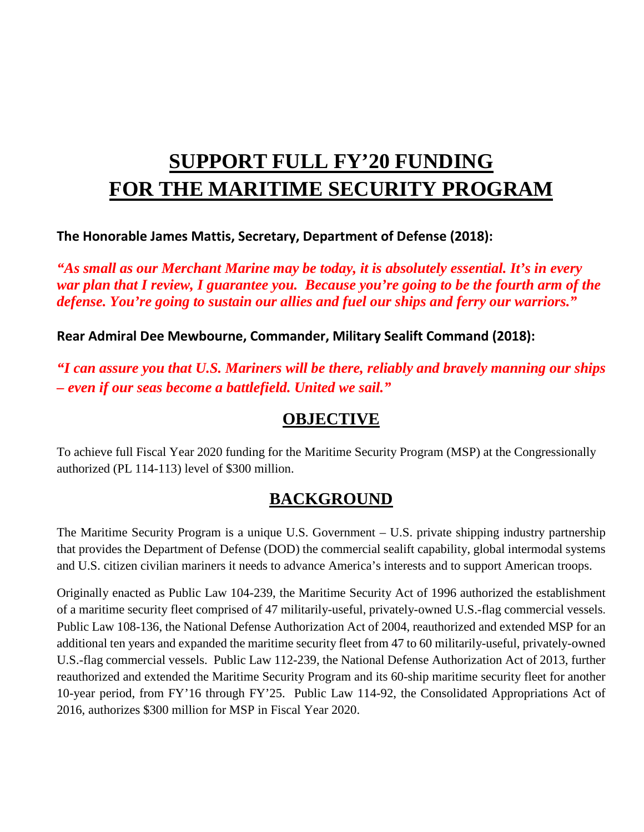# **SUPPORT FULL FY'20 FUNDING FOR THE MARITIME SECURITY PROGRAM**

**The Honorable James Mattis, Secretary, Department of Defense (2018):**

*"As small as our Merchant Marine may be today, it is absolutely essential. It's in every war plan that I review, I guarantee you. Because you're going to be the fourth arm of the defense. You're going to sustain our allies and fuel our ships and ferry our warriors."*

**Rear Admiral Dee Mewbourne, Commander, Military Sealift Command (2018):**

*"I can assure you that U.S. Mariners will be there, reliably and bravely manning our ships – even if our seas become a battlefield. United we sail."*

### **OBJECTIVE**

To achieve full Fiscal Year 2020 funding for the Maritime Security Program (MSP) at the Congressionally authorized (PL 114-113) level of \$300 million.

# **BACKGROUND**

The Maritime Security Program is a unique U.S. Government – U.S. private shipping industry partnership that provides the Department of Defense (DOD) the commercial sealift capability, global intermodal systems and U.S. citizen civilian mariners it needs to advance America's interests and to support American troops.

Originally enacted as Public Law 104-239, the Maritime Security Act of 1996 authorized the establishment of a maritime security fleet comprised of 47 militarily-useful, privately-owned U.S.-flag commercial vessels. Public Law 108-136, the National Defense Authorization Act of 2004, reauthorized and extended MSP for an additional ten years and expanded the maritime security fleet from 47 to 60 militarily-useful, privately-owned U.S.-flag commercial vessels. Public Law 112-239, the National Defense Authorization Act of 2013, further reauthorized and extended the Maritime Security Program and its 60-ship maritime security fleet for another 10-year period, from FY'16 through FY'25. Public Law 114-92, the Consolidated Appropriations Act of 2016, authorizes \$300 million for MSP in Fiscal Year 2020.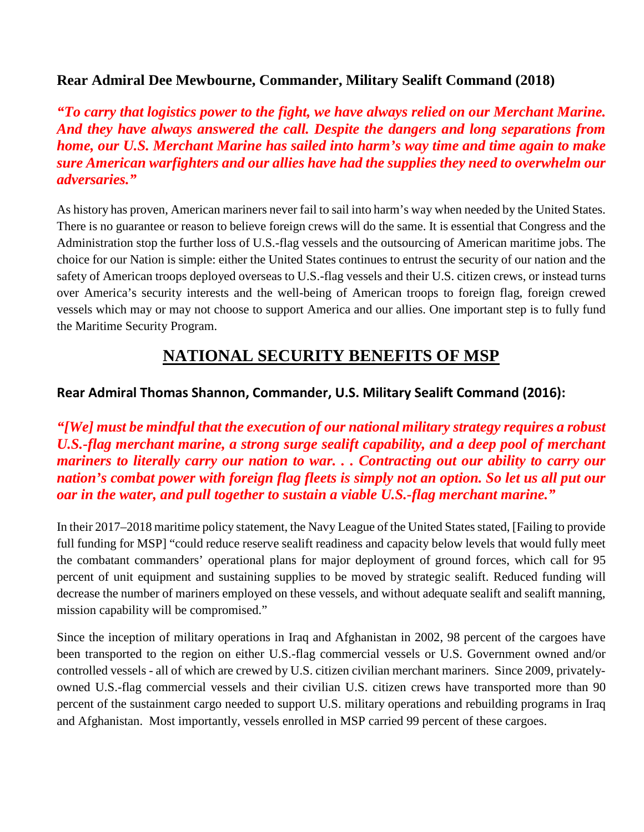#### **Rear Admiral Dee Mewbourne, Commander, Military Sealift Command (2018)**

*"To carry that logistics power to the fight, we have always relied on our Merchant Marine. And they have always answered the call. Despite the dangers and long separations from home, our U.S. Merchant Marine has sailed into harm's way time and time again to make sure American warfighters and our allies have had the supplies they need to overwhelm our adversaries."*

As history has proven, American mariners never fail to sail into harm's way when needed by the United States. There is no guarantee or reason to believe foreign crews will do the same. It is essential that Congress and the Administration stop the further loss of U.S.-flag vessels and the outsourcing of American maritime jobs. The choice for our Nation is simple: either the United States continues to entrust the security of our nation and the safety of American troops deployed overseas to U.S.-flag vessels and their U.S. citizen crews, or instead turns over America's security interests and the well-being of American troops to foreign flag, foreign crewed vessels which may or may not choose to support America and our allies. One important step is to fully fund the Maritime Security Program.

## **NATIONAL SECURITY BENEFITS OF MSP**

#### **Rear Admiral Thomas Shannon, Commander, U.S. Military Sealift Command (2016):**

*"[We] must be mindful that the execution of our national military strategy requires a robust U.S.-flag merchant marine, a strong surge sealift capability, and a deep pool of merchant mariners to literally carry our nation to war. . . Contracting out our ability to carry our nation's combat power with foreign flag fleets is simply not an option. So let us all put our oar in the water, and pull together to sustain a viable U.S.-flag merchant marine."*

In their 2017–2018 maritime policy statement, the Navy League of the United States stated, [Failing to provide full funding for MSP] "could reduce reserve sealift readiness and capacity below levels that would fully meet the combatant commanders' operational plans for major deployment of ground forces, which call for 95 percent of unit equipment and sustaining supplies to be moved by strategic sealift. Reduced funding will decrease the number of mariners employed on these vessels, and without adequate sealift and sealift manning, mission capability will be compromised."

Since the inception of military operations in Iraq and Afghanistan in 2002, 98 percent of the cargoes have been transported to the region on either U.S.-flag commercial vessels or U.S. Government owned and/or controlled vessels - all of which are crewed by U.S. citizen civilian merchant mariners. Since 2009, privatelyowned U.S.-flag commercial vessels and their civilian U.S. citizen crews have transported more than 90 percent of the sustainment cargo needed to support U.S. military operations and rebuilding programs in Iraq and Afghanistan. Most importantly, vessels enrolled in MSP carried 99 percent of these cargoes.